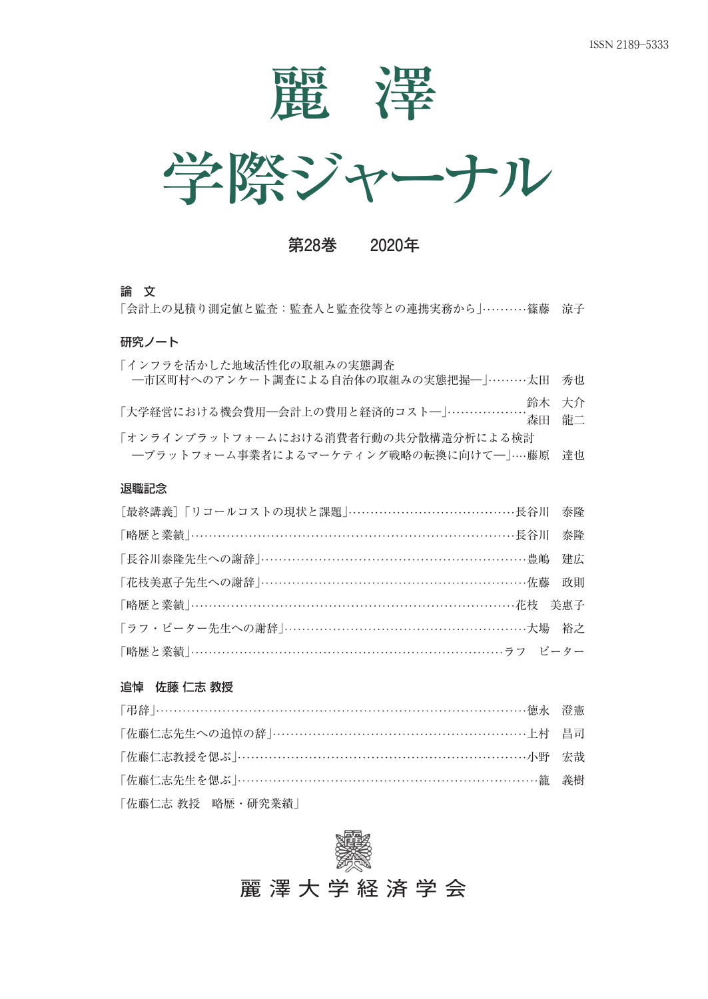



**第28巻 2020年**

#### 論 文

「会計上の見積り測定値と監査、監査人と監査役等との連携実務から」………篠藤 涼子

### 研究ノート

| 「インフラを活かした地域活性化の取組みの実態調査<br>一市区町村へのアンケート調査による自治体の取組みの実態把握一」………太田 秀也             |       |
|---------------------------------------------------------------------------------|-------|
| 「大学経営における機会費用―会計上の費用と経済的コスト―」…………………<br>森田 龍二                                   | 鈴木 大介 |
| 「オンラインプラットフォームにおける消費者行動の共分散構造分析による検討<br>一プラットフォーム事業者によるマーケティング戦略の転換に向けて一」…藤原 達也 |       |
| 退職記念                                                                            |       |

| [最終講義]「リコールコストの現状と課題」……………………………………長谷川 泰隆   |  |
|---------------------------------------------|--|
| 「略歴と業績」………………………………………………………………………長谷川 泰隆    |  |
| 「長谷川泰隆先生への謝辞」……………………………………………………豊嶋 建広      |  |
| 「花枝美惠子先生への謝辞」……………………………………………………佐藤 政則      |  |
| 「略歴と業績」………………………………………………………………花枝 美惠子       |  |
| 「ラフ・ピーター先生への謝辞  …………………………………………………………大場 裕之 |  |
|                                             |  |

## 追悼 佐藤 仁志 教授

| 「佐藤仁志教授を偲ぶ  ……………………………………………………………………小野 宗哉 |  |
|---------------------------------------------|--|
| 「佐藤仁志先生を偲ぶ  ……………………………………………………………-- 籠 義樹  |  |
| 「佐藤仁志 教授―略歴・研究業績」                           |  |